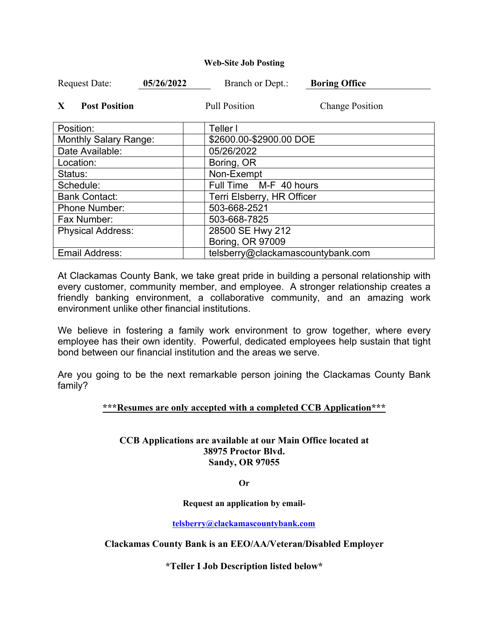### **Web-Site Job Posting**

| <b>Request Date:</b>                 | 05/26/2022 | Branch or Dept.:                  | <b>Boring Office</b>   |
|--------------------------------------|------------|-----------------------------------|------------------------|
| $\mathbf{X}$<br><b>Post Position</b> |            | <b>Pull Position</b>              | <b>Change Position</b> |
| Position:                            |            | Teller I                          |                        |
| <b>Monthly Salary Range:</b>         |            | \$2600.00-\$2900.00 DOE           |                        |
| Date Available:                      |            | 05/26/2022                        |                        |
| Location:                            |            | Boring, OR                        |                        |
| Status:                              |            | Non-Exempt                        |                        |
| Schedule:                            |            | Full Time M-F 40 hours            |                        |
| <b>Bank Contact:</b>                 |            | Terri Elsberry, HR Officer        |                        |
| <b>Phone Number:</b>                 |            | 503-668-2521                      |                        |
| Fax Number:                          |            | 503-668-7825                      |                        |
| <b>Physical Address:</b>             |            | 28500 SE Hwy 212                  |                        |
|                                      |            | Boring, OR 97009                  |                        |
| <b>Email Address:</b>                |            | telsberry@clackamascountybank.com |                        |

At Clackamas County Bank, we take great pride in building a personal relationship with every customer, community member, and employee. A stronger relationship creates a friendly banking environment, a collaborative community, and an amazing work environment unlike other financial institutions.

We believe in fostering a family work environment to grow together, where every employee has their own identity. Powerful, dedicated employees help sustain that tight bond between our financial institution and the areas we serve.

Are you going to be the next remarkable person joining the Clackamas County Bank family?

## **\*\*\*Resumes are only accepted with a completed CCB Application\*\*\***

# **CCB Applications are available at our Main Office located at 38975 Proctor Blvd. Sandy, OR 97055**

**Or**

**Request an application by email-**

**telsberry@clackamascountybank.com**

**Clackamas County Bank is an EEO/AA/Veteran/Disabled Employer**

**\*Teller I Job Description listed below\***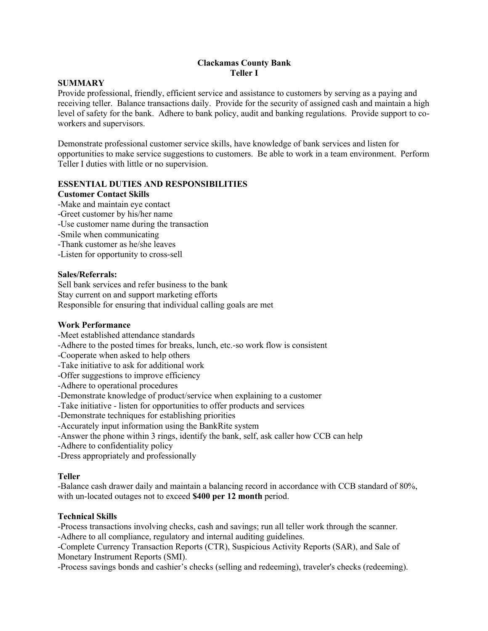## **Clackamas County Bank Teller I**

## **SUMMARY**

Provide professional, friendly, efficient service and assistance to customers by serving as a paying and receiving teller. Balance transactions daily. Provide for the security of assigned cash and maintain a high level of safety for the bank. Adhere to bank policy, audit and banking regulations. Provide support to coworkers and supervisors.

Demonstrate professional customer service skills, have knowledge of bank services and listen for opportunities to make service suggestions to customers. Be able to work in a team environment. Perform Teller I duties with little or no supervision.

# **ESSENTIAL DUTIES AND RESPONSIBILITIES**

### **Customer Contact Skills**

- -Make and maintain eye contact
- -Greet customer by his/her name
- -Use customer name during the transaction
- -Smile when communicating
- -Thank customer as he/she leaves
- -Listen for opportunity to cross-sell

## **Sales/Referrals:**

Sell bank services and refer business to the bank Stay current on and support marketing efforts Responsible for ensuring that individual calling goals are met

## **Work Performance**

- -Meet established attendance standards
- -Adhere to the posted times for breaks, lunch, etc.-so work flow is consistent
- -Cooperate when asked to help others
- -Take initiative to ask for additional work
- -Offer suggestions to improve efficiency
- -Adhere to operational procedures
- -Demonstrate knowledge of product/service when explaining to a customer
- -Take initiative listen for opportunities to offer products and services
- -Demonstrate techniques for establishing priorities
- -Accurately input information using the BankRite system
- -Answer the phone within 3 rings, identify the bank, self, ask caller how CCB can help
- -Adhere to confidentiality policy
- -Dress appropriately and professionally

### **Teller**

-Balance cash drawer daily and maintain a balancing record in accordance with CCB standard of 80%, with un-located outages not to exceed **\$400 per 12 month** period.

## **Technical Skills**

-Process transactions involving checks, cash and savings; run all teller work through the scanner. -Adhere to all compliance, regulatory and internal auditing guidelines.

-Complete Currency Transaction Reports (CTR), Suspicious Activity Reports (SAR), and Sale of Monetary Instrument Reports (SMI).

-Process savings bonds and cashier's checks (selling and redeeming), traveler's checks (redeeming).